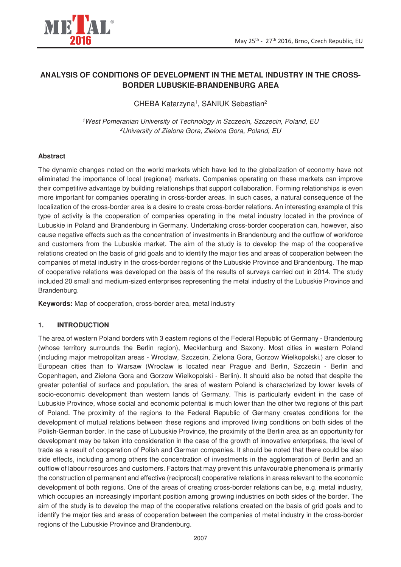

# **ANALYSIS OF CONDITIONS OF DEVELOPMENT IN THE METAL INDUSTRY IN THE CROSS-BORDER LUBUSKIE-BRANDENBURG AREA**

CHEBA Katarzyna<sup>1</sup>, SANIUK Sebastian<sup>2</sup>

*<sup>1</sup>West Pomeranian University of Technology in Szczecin, Szczecin, Poland, EU <sup>2</sup>University of Zielona Gora, Zielona Gora, Poland, EU* 

### **Abstract**

The dynamic changes noted on the world markets which have led to the globalization of economy have not eliminated the importance of local (regional) markets. Companies operating on these markets can improve their competitive advantage by building relationships that support collaboration. Forming relationships is even more important for companies operating in cross-border areas. In such cases, a natural consequence of the localization of the cross-border area is a desire to create cross-border relations. An interesting example of this type of activity is the cooperation of companies operating in the metal industry located in the province of Lubuskie in Poland and Brandenburg in Germany. Undertaking cross-border cooperation can, however, also cause negative effects such as the concentration of investments in Brandenburg and the outflow of workforce and customers from the Lubuskie market. The aim of the study is to develop the map of the cooperative relations created on the basis of grid goals and to identify the major ties and areas of cooperation between the companies of metal industry in the cross-border regions of the Lubuskie Province and Brandenburg. The map of cooperative relations was developed on the basis of the results of surveys carried out in 2014. The study included 20 small and medium-sized enterprises representing the metal industry of the Lubuskie Province and Brandenburg.

**Keywords:** Map of cooperation, cross-border area, metal industry

# **1. INTRODUCTION**

The area of western Poland borders with 3 eastern regions of the Federal Republic of Germany - Brandenburg (whose territory surrounds the Berlin region), Mecklenburg and Saxony. Most cities in western Poland (including major metropolitan areas - Wroclaw, Szczecin, Zielona Gora, Gorzow Wielkopolski.) are closer to European cities than to Warsaw (Wroclaw is located near Prague and Berlin, Szczecin - Berlin and Copenhagen, and Zielona Gora and Gorzow Wielkopolski - Berlin). It should also be noted that despite the greater potential of surface and population, the area of western Poland is characterized by lower levels of socio-economic development than western lands of Germany. This is particularly evident in the case of Lubuskie Province, whose social and economic potential is much lower than the other two regions of this part of Poland. The proximity of the regions to the Federal Republic of Germany creates conditions for the development of mutual relations between these regions and improved living conditions on both sides of the Polish-German border. In the case of Lubuskie Province, the proximity of the Berlin area as an opportunity for development may be taken into consideration in the case of the growth of innovative enterprises, the level of trade as a result of cooperation of Polish and German companies. It should be noted that there could be also side effects, including among others the concentration of investments in the agglomeration of Berlin and an outflow of labour resources and customers. Factors that may prevent this unfavourable phenomena is primarily the construction of permanent and effective (reciprocal) cooperative relations in areas relevant to the economic development of both regions. One of the areas of creating cross-border relations can be, e.g. metal industry, which occupies an increasingly important position among growing industries on both sides of the border. The aim of the study is to develop the map of the cooperative relations created on the basis of grid goals and to identify the major ties and areas of cooperation between the companies of metal industry in the cross-border regions of the Lubuskie Province and Brandenburg.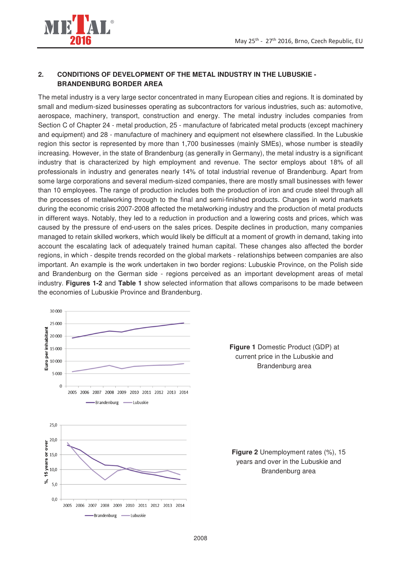

### **2. CONDITIONS OF DEVELOPMENT OF THE METAL INDUSTRY IN THE LUBUSKIE - BRANDENBURG BORDER AREA**

The metal industry is a very large sector concentrated in many European cities and regions. It is dominated by small and medium-sized businesses operating as subcontractors for various industries, such as: automotive, aerospace, machinery, transport, construction and energy. The metal industry includes companies from Section C of Chapter 24 - metal production, 25 - manufacture of fabricated metal products (except machinery and equipment) and 28 - manufacture of machinery and equipment not elsewhere classified. In the Lubuskie region this sector is represented by more than 1,700 businesses (mainly SMEs), whose number is steadily increasing. However, in the state of Brandenburg (as generally in Germany), the metal industry is a significant industry that is characterized by high employment and revenue. The sector employs about 18% of all professionals in industry and generates nearly 14% of total industrial revenue of Brandenburg. Apart from some large corporations and several medium-sized companies, there are mostly small businesses with fewer than 10 employees. The range of production includes both the production of iron and crude steel through all the processes of metalworking through to the final and semi-finished products. Changes in world markets during the economic crisis 2007-2008 affected the metalworking industry and the production of metal products in different ways. Notably, they led to a reduction in production and a lowering costs and prices, which was caused by the pressure of end-users on the sales prices. Despite declines in production, many companies managed to retain skilled workers, which would likely be difficult at a moment of growth in demand, taking into account the escalating lack of adequately trained human capital. These changes also affected the border regions, in which - despite trends recorded on the global markets - relationships between companies are also important. An example is the work undertaken in two border regions: Lubuskie Province, on the Polish side and Brandenburg on the German side - regions perceived as an important development areas of metal industry. **Figures 1-2** and **Table 1** show selected information that allows comparisons to be made between the economies of Lubuskie Province and Brandenburg.

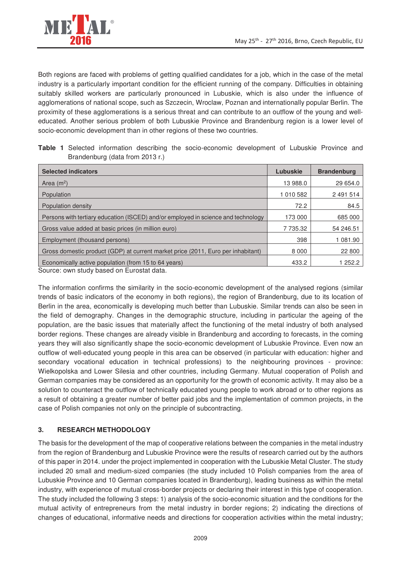

Both regions are faced with problems of getting qualified candidates for a job, which in the case of the metal industry is a particularly important condition for the efficient running of the company. Difficulties in obtaining suitably skilled workers are particularly pronounced in Lubuskie, which is also under the influence of agglomerations of national scope, such as Szczecin, Wroclaw, Poznan and internationally popular Berlin. The proximity of these agglomerations is a serious threat and can contribute to an outflow of the young and welleducated. Another serious problem of both Lubuskie Province and Brandenburg region is a lower level of socio-economic development than in other regions of these two countries.

**Table 1** Selected information describing the socio-economic development of Lubuskie Province and Brandenburg (data from 2013 r.)

| <b>Selected indicators</b>                                                        | <b>Lubuskie</b> | <b>Brandenburg</b> |
|-----------------------------------------------------------------------------------|-----------------|--------------------|
| Area $(m2)$                                                                       | 13 988.0        | 29 654.0           |
| Population                                                                        | 1 010 582       | 2 491 514          |
| Population density                                                                | 72.2            | 84.5               |
| Persons with tertiary education (ISCED) and/or employed in science and technology | 173 000         | 685 000            |
| Gross value added at basic prices (in million euro)                               | 7 735.32        | 54 246.51          |
| Employment (thousand persons)                                                     | 398             | 1 081.90           |
| Gross domestic product (GDP) at current market price (2011, Euro per inhabitant)  | 8 0 0 0         | 22 800             |
| Economically active population (from 15 to 64 years)                              | 433.2           | 252.2              |

Source: own study based on Eurostat data.

The information confirms the similarity in the socio-economic development of the analysed regions (similar trends of basic indicators of the economy in both regions), the region of Brandenburg, due to its location of Berlin in the area, economically is developing much better than Lubuskie. Similar trends can also be seen in the field of demography. Changes in the demographic structure, including in particular the ageing of the population, are the basic issues that materially affect the functioning of the metal industry of both analysed border regions. These changes are already visible in Brandenburg and according to forecasts, in the coming years they will also significantly shape the socio-economic development of Lubuskie Province. Even now an outflow of well-educated young people in this area can be observed (in particular with education: higher and secondary vocational education in technical professions) to the neighbouring provinces - province: Wielkopolska and Lower Silesia and other countries, including Germany. Mutual cooperation of Polish and German companies may be considered as an opportunity for the growth of economic activity. It may also be a solution to counteract the outflow of technically educated young people to work abroad or to other regions as a result of obtaining a greater number of better paid jobs and the implementation of common projects, in the case of Polish companies not only on the principle of subcontracting.

# **3. RESEARCH METHODOLOGY**

The basis for the development of the map of cooperative relations between the companies in the metal industry from the region of Brandenburg and Lubuskie Province were the results of research carried out by the authors of this paper in 2014. under the project implemented in cooperation with the Lubuskie Metal Cluster. The study included 20 small and medium-sized companies (the study included 10 Polish companies from the area of Lubuskie Province and 10 German companies located in Brandenburg), leading business as within the metal industry, with experience of mutual cross-border projects or declaring their interest in this type of cooperation. The study included the following 3 steps: 1) analysis of the socio-economic situation and the conditions for the mutual activity of entrepreneurs from the metal industry in border regions; 2) indicating the directions of changes of educational, informative needs and directions for cooperation activities within the metal industry;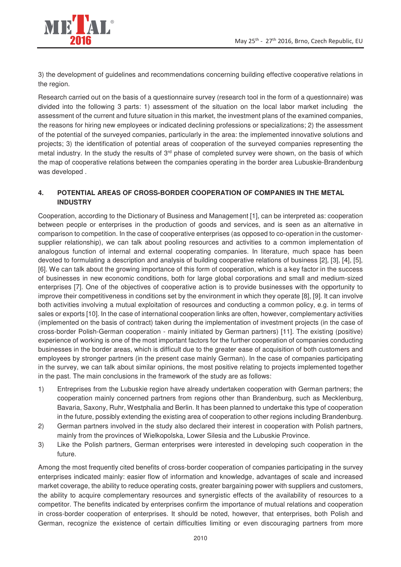

3) the development of guidelines and recommendations concerning building effective cooperative relations in the region.

Research carried out on the basis of a questionnaire survey (research tool in the form of a questionnaire) was divided into the following 3 parts: 1) assessment of the situation on the local labor market including the assessment of the current and future situation in this market, the investment plans of the examined companies, the reasons for hiring new employees or indicated declining professions or specializations; 2) the assessment of the potential of the surveyed companies, particularly in the area: the implemented innovative solutions and projects; 3) the identification of potential areas of cooperation of the surveyed companies representing the metal industry. In the study the results of 3<sup>rd</sup> phase of completed survey were shown, on the basis of which the map of cooperative relations between the companies operating in the border area Lubuskie-Brandenburg was developed .

### **4. POTENTIAL AREAS OF CROSS-BORDER COOPERATION OF COMPANIES IN THE METAL INDUSTRY**

Cooperation, according to the Dictionary of Business and Management [1], can be interpreted as: cooperation between people or enterprises in the production of goods and services, and is seen as an alternative in comparison to competition. In the case of cooperative enterprises (as opposed to co-operation in the customersupplier relationship), we can talk about pooling resources and activities to a common implementation of analogous function of internal and external cooperating companies. In literature, much space has been devoted to formulating a description and analysis of building cooperative relations of business [2], [3], [4], [5], [6]. We can talk about the growing importance of this form of cooperation, which is a key factor in the success of businesses in new economic conditions, both for large global corporations and small and medium-sized enterprises [7]. One of the objectives of cooperative action is to provide businesses with the opportunity to improve their competitiveness in conditions set by the environment in which they operate [8], [9]. It can involve both activities involving a mutual exploitation of resources and conducting a common policy, e.g. in terms of sales or exports [10]. In the case of international cooperation links are often, however, complementary activities (implemented on the basis of contract) taken during the implementation of investment projects (in the case of cross-border Polish-German cooperation - mainly initiated by German partners) [11]. The existing (positive) experience of working is one of the most important factors for the further cooperation of companies conducting businesses in the border areas, which is difficult due to the greater ease of acquisition of both customers and employees by stronger partners (in the present case mainly German). In the case of companies participating in the survey, we can talk about similar opinions, the most positive relating to projects implemented together in the past. The main conclusions in the framework of the study are as follows:

- 1) Entreprises from the Lubuskie region have already undertaken cooperation with German partners; the cooperation mainly concerned partners from regions other than Brandenburg, such as Mecklenburg, Bavaria, Saxony, Ruhr, Westphalia and Berlin. It has been planned to undertake this type of cooperation in the future, possibly extending the existing area of cooperation to other regions including Brandenburg.
- 2) German partners involved in the study also declared their interest in cooperation with Polish partners, mainly from the provinces of Wielkopolska, Lower Silesia and the Lubuskie Province.
- 3) Like the Polish partners, German enterprises were interested in developing such cooperation in the future.

Among the most frequently cited benefits of cross-border cooperation of companies participating in the survey enterprises indicated mainly: easier flow of information and knowledge, advantages of scale and increased market coverage, the ability to reduce operating costs, greater bargaining power with suppliers and customers, the ability to acquire complementary resources and synergistic effects of the availability of resources to a competitor. The benefits indicated by enterprises confirm the importance of mutual relations and cooperation in cross-border cooperation of enterprises. It should be noted, however, that enterprises, both Polish and German, recognize the existence of certain difficulties limiting or even discouraging partners from more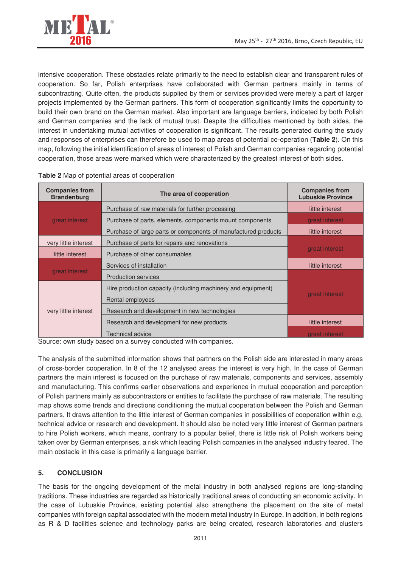

intensive cooperation. These obstacles relate primarily to the need to establish clear and transparent rules of cooperation. So far, Polish enterprises have collaborated with German partners mainly in terms of subcontracting. Quite often, the products supplied by them or services provided were merely a part of larger projects implemented by the German partners. This form of cooperation significantly limits the opportunity to build their own brand on the German market. Also important are language barriers, indicated by both Polish and German companies and the lack of mutual trust. Despite the difficulties mentioned by both sides, the interest in undertaking mutual activities of cooperation is significant. The results generated during the study and responses of enterprises can therefore be used to map areas of potential co-operation (**Table 2**). On this map, following the initial identification of areas of interest of Polish and German companies regarding potential cooperation, those areas were marked which were characterized by the greatest interest of both sides.

| <b>Companies from</b><br><b>Brandenburg</b> | The area of cooperation                                               | <b>Companies from</b><br><b>Lubuskie Province</b> |  |
|---------------------------------------------|-----------------------------------------------------------------------|---------------------------------------------------|--|
|                                             | Purchase of raw materials for further processing                      | little interest                                   |  |
| great interest                              | Purchase of parts, elements, components mount components              | great interest                                    |  |
|                                             | Purchase of large parts or components of manufactured products        | little interest                                   |  |
| very little interest                        | Purchase of parts for repairs and renovations                         |                                                   |  |
| little interest                             | Purchase of other consumables                                         | great interest                                    |  |
| great interest                              | Services of installation                                              | little interest                                   |  |
|                                             | <b>Production services</b>                                            |                                                   |  |
|                                             | Hire production capacity (including machinery and equipment)          |                                                   |  |
| very little interest                        | great interest<br>Rental employees                                    |                                                   |  |
|                                             | Research and development in new technologies                          |                                                   |  |
|                                             | Research and development for new products                             | little interest                                   |  |
| .                                           | <b>Technical advice</b><br>$\mathbf{r}$ , $\mathbf{r}$ , $\mathbf{r}$ | great interest                                    |  |

|  |  |  |  | Table 2 Map of potential areas of cooperation |
|--|--|--|--|-----------------------------------------------|
|--|--|--|--|-----------------------------------------------|

Source: own study based on a survey conducted with companies.

The analysis of the submitted information shows that partners on the Polish side are interested in many areas of cross-border cooperation. In 8 of the 12 analysed areas the interest is very high. In the case of German partners the main interest is focused on the purchase of raw materials, components and services, assembly and manufacturing. This confirms earlier observations and experience in mutual cooperation and perception of Polish partners mainly as subcontractors or entities to facilitate the purchase of raw materials. The resulting map shows some trends and directions conditioning the mutual cooperation between the Polish and German partners. It draws attention to the little interest of German companies in possibilities of cooperation within e.g. technical advice or research and development. It should also be noted very little interest of German partners to hire Polish workers, which means, contrary to a popular belief, there is little risk of Polish workers being taken over by German enterprises, a risk which leading Polish companies in the analysed industry feared. The main obstacle in this case is primarily a language barrier.

# **5. CONCLUSION**

The basis for the ongoing development of the metal industry in both analysed regions are long-standing traditions. These industries are regarded as historically traditional areas of conducting an economic activity. In the case of Lubuskie Province, existing potential also strengthens the placement on the site of metal companies with foreign capital associated with the modern metal industry in Europe. In addition, in both regions as R & D facilities science and technology parks are being created, research laboratories and clusters